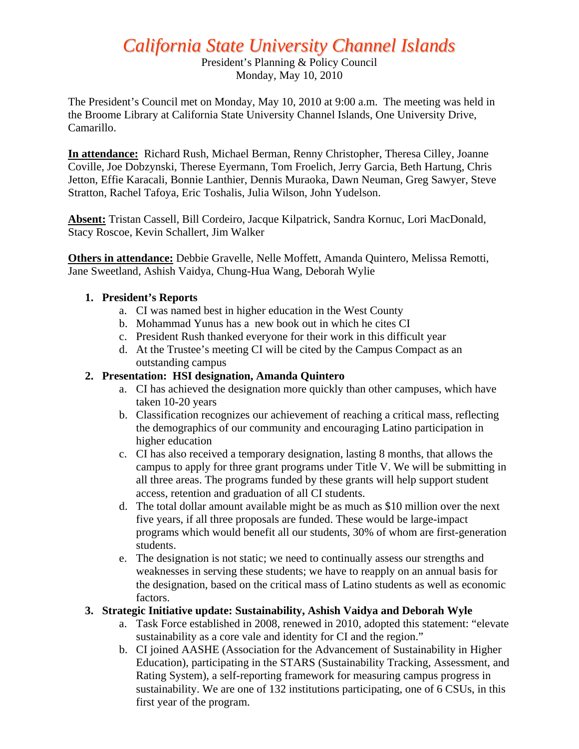# *California State University Channel Islands*

President's Planning & Policy Council Monday, May 10, 2010

The President's Council met on Monday, May 10, 2010 at 9:00 a.m. The meeting was held in the Broome Library at California State University Channel Islands, One University Drive, Camarillo.

**In attendance:** Richard Rush, Michael Berman, Renny Christopher, Theresa Cilley, Joanne Coville, Joe Dobzynski, Therese Eyermann, Tom Froelich, Jerry Garcia, Beth Hartung, Chris Jetton, Effie Karacali, Bonnie Lanthier, Dennis Muraoka, Dawn Neuman, Greg Sawyer, Steve Stratton, Rachel Tafoya, Eric Toshalis, Julia Wilson, John Yudelson.

**Absent:** Tristan Cassell, Bill Cordeiro, Jacque Kilpatrick, Sandra Kornuc, Lori MacDonald, Stacy Roscoe, Kevin Schallert, Jim Walker

**Others in attendance:** Debbie Gravelle, Nelle Moffett, Amanda Quintero, Melissa Remotti, Jane Sweetland, Ashish Vaidya, Chung-Hua Wang, Deborah Wylie

#### **1. President's Reports**

- a. CI was named best in higher education in the West County
- b. Mohammad Yunus has a new book out in which he cites CI
- c. President Rush thanked everyone for their work in this difficult year
- d. At the Trustee's meeting CI will be cited by the Campus Compact as an outstanding campus

#### **2. Presentation: HSI designation, Amanda Quintero**

- a. CI has achieved the designation more quickly than other campuses, which have taken 10-20 years
- b. Classification recognizes our achievement of reaching a critical mass, reflecting the demographics of our community and encouraging Latino participation in higher education
- c. CI has also received a temporary designation, lasting 8 months, that allows the campus to apply for three grant programs under Title V. We will be submitting in all three areas. The programs funded by these grants will help support student access, retention and graduation of all CI students.
- d. The total dollar amount available might be as much as \$10 million over the next five years, if all three proposals are funded. These would be large-impact programs which would benefit all our students, 30% of whom are first-generation students.
- e. The designation is not static; we need to continually assess our strengths and weaknesses in serving these students; we have to reapply on an annual basis for the designation, based on the critical mass of Latino students as well as economic factors.

#### **3. Strategic Initiative update: Sustainability, Ashish Vaidya and Deborah Wyle**

- a. Task Force established in 2008, renewed in 2010, adopted this statement: "elevate sustainability as a core vale and identity for CI and the region."
- b. CI joined AASHE (Association for the Advancement of Sustainability in Higher Education), participating in the STARS (Sustainability Tracking, Assessment, and Rating System), a self-reporting framework for measuring campus progress in sustainability. We are one of 132 institutions participating, one of 6 CSUs, in this first year of the program.